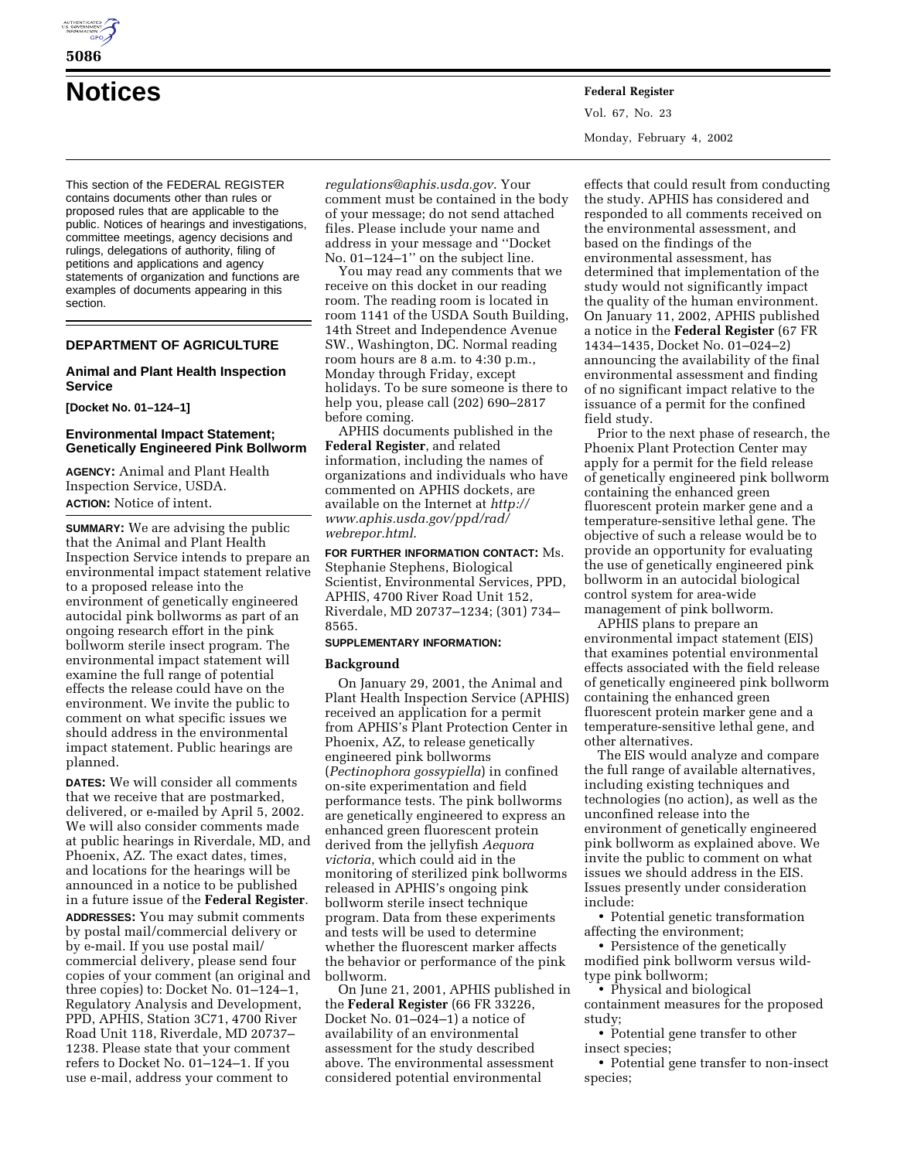

# **Notices Federal Register**

This section of the FEDERAL REGISTER contains documents other than rules or proposed rules that are applicable to the public. Notices of hearings and investigations, committee meetings, agency decisions and rulings, delegations of authority, filing of petitions and applications and agency statements of organization and functions are examples of documents appearing in this section.

# **DEPARTMENT OF AGRICULTURE**

# **Animal and Plant Health Inspection Service**

**[Docket No. 01–124–1]**

# **Environmental Impact Statement; Genetically Engineered Pink Bollworm**

**AGENCY:** Animal and Plant Health Inspection Service, USDA. **ACTION:** Notice of intent.

**SUMMARY:** We are advising the public that the Animal and Plant Health Inspection Service intends to prepare an environmental impact statement relative to a proposed release into the environment of genetically engineered autocidal pink bollworms as part of an ongoing research effort in the pink bollworm sterile insect program. The environmental impact statement will examine the full range of potential effects the release could have on the environment. We invite the public to comment on what specific issues we should address in the environmental impact statement. Public hearings are planned.

**DATES:** We will consider all comments that we receive that are postmarked, delivered, or e-mailed by April 5, 2002. We will also consider comments made at public hearings in Riverdale, MD, and Phoenix, AZ. The exact dates, times, and locations for the hearings will be announced in a notice to be published in a future issue of the **Federal Register**.

**ADDRESSES:** You may submit comments by postal mail/commercial delivery or by e-mail. If you use postal mail/ commercial delivery, please send four copies of your comment (an original and three copies) to: Docket No. 01–124–1, Regulatory Analysis and Development, PPD, APHIS, Station 3C71, 4700 River Road Unit 118, Riverdale, MD 20737– 1238. Please state that your comment refers to Docket No. 01–124–1. If you use e-mail, address your comment to

*regulations@aphis.usda.gov*. Your comment must be contained in the body of your message; do not send attached files. Please include your name and address in your message and ''Docket No. 01–124–1" on the subject line.

You may read any comments that we receive on this docket in our reading room. The reading room is located in room 1141 of the USDA South Building, 14th Street and Independence Avenue SW., Washington, DC. Normal reading room hours are 8 a.m. to 4:30 p.m., Monday through Friday, except holidays. To be sure someone is there to help you, please call (202) 690–2817 before coming.

APHIS documents published in the **Federal Register**, and related information, including the names of organizations and individuals who have commented on APHIS dockets, are available on the Internet at *http:// www.aphis.usda.gov/ppd/rad/ webrepor.html*.

**FOR FURTHER INFORMATION CONTACT:** Ms. Stephanie Stephens, Biological Scientist, Environmental Services, PPD, APHIS, 4700 River Road Unit 152, Riverdale, MD 20737–1234; (301) 734– 8565.

# **SUPPLEMENTARY INFORMATION:**

#### **Background**

On January 29, 2001, the Animal and Plant Health Inspection Service (APHIS) received an application for a permit from APHIS's Plant Protection Center in Phoenix, AZ, to release genetically engineered pink bollworms (*Pectinophora gossypiella*) in confined on-site experimentation and field performance tests. The pink bollworms are genetically engineered to express an enhanced green fluorescent protein derived from the jellyfish *Aequora victoria*, which could aid in the monitoring of sterilized pink bollworms released in APHIS's ongoing pink bollworm sterile insect technique program. Data from these experiments and tests will be used to determine whether the fluorescent marker affects the behavior or performance of the pink bollworm.

On June 21, 2001, APHIS published in the **Federal Register** (66 FR 33226, Docket No. 01–024–1) a notice of availability of an environmental assessment for the study described above. The environmental assessment considered potential environmental

Vol. 67, No. 23 Monday, February 4, 2002

effects that could result from conducting the study. APHIS has considered and responded to all comments received on the environmental assessment, and based on the findings of the environmental assessment, has determined that implementation of the study would not significantly impact the quality of the human environment. On January 11, 2002, APHIS published a notice in the **Federal Register** (67 FR 1434–1435, Docket No. 01–024–2) announcing the availability of the final environmental assessment and finding of no significant impact relative to the issuance of a permit for the confined field study.

Prior to the next phase of research, the Phoenix Plant Protection Center may apply for a permit for the field release of genetically engineered pink bollworm containing the enhanced green fluorescent protein marker gene and a temperature-sensitive lethal gene. The objective of such a release would be to provide an opportunity for evaluating the use of genetically engineered pink bollworm in an autocidal biological control system for area-wide management of pink bollworm.

APHIS plans to prepare an environmental impact statement (EIS) that examines potential environmental effects associated with the field release of genetically engineered pink bollworm containing the enhanced green fluorescent protein marker gene and a temperature-sensitive lethal gene, and other alternatives.

The EIS would analyze and compare the full range of available alternatives, including existing techniques and technologies (no action), as well as the unconfined release into the environment of genetically engineered pink bollworm as explained above. We invite the public to comment on what issues we should address in the EIS. Issues presently under consideration include:

• Potential genetic transformation affecting the environment;

• Persistence of the genetically modified pink bollworm versus wildtype pink bollworm;

• Physical and biological

containment measures for the proposed study;

• Potential gene transfer to other insect species;

• Potential gene transfer to non-insect species;